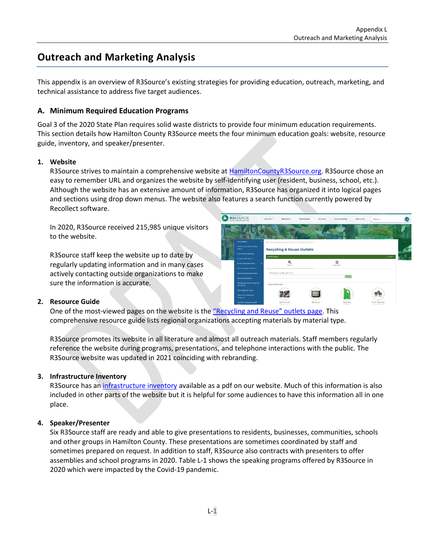# **Outreach and Marketing Analysis**

This appendix is an overview of R3Source's existing strategies for providing education, outreach, marketing, and technical assistance to address five target audiences.

#### **A. Minimum Required Education Programs**

Goal 3 of the 2020 State Plan requires solid waste districts to provide four minimum education requirements. This section details how Hamilton County R3Source meets the four minimum education goals: website, resource guide, inventory, and speaker/presenter.

#### **1. Website**

R3Source strives to maintain a comprehensive website at [HamiltonCountyR3Source.org.](https://hamiltoncountyr3source.org/) R3Source chose an easy to remember URL and organizes the website by self-identifying user (resident, business, school, etc.). Although the website has an extensive amount of information, R3Source has organized it into logical pages and sections using drop down menus. The website also features a search function currently powered by Recollect software.

In 2020, R3Source received 215,985 unique visitors to the website.

R3Source staff keep the website up to date by regularly updating information and in many cases actively contacting outside organizations to make sure the information is accurate.



#### **2. Resource Guide**

One of the most-viewed pages on the website is the ["Recycling and Reuse" outlets page](https://hamiltoncountyr3source.org/410/Recycling-Reuse-Outlets). This comprehensive resource guide lists regional organizations accepting materials by material type.

R3Source promotes its website in all literature and almost all outreach materials. Staff members regularly reference the website during programs, presentations, and telephone interactions with the public. The R3Source website was updated in 2021 coinciding with rebranding.

#### **3. Infrastructure Inventory**

R3Source has an [infrastructure inventory](https://hamiltoncountyr3source.org/359/Research-Reports) available as a pdf on our website. Much of this information is also included in other parts of the website but it is helpful for some audiences to have this information all in one place.

#### **4. Speaker/Presenter**

Six R3Source staff are ready and able to give presentations to residents, businesses, communities, schools and other groups in Hamilton County. These presentations are sometimes coordinated by staff and sometimes prepared on request. In addition to staff, R3Source also contracts with presenters to offer assemblies and school programs in 2020. Table L-1 shows the speaking programs offered by R3Source in 2020 which were impacted by the Covid-19 pandemic.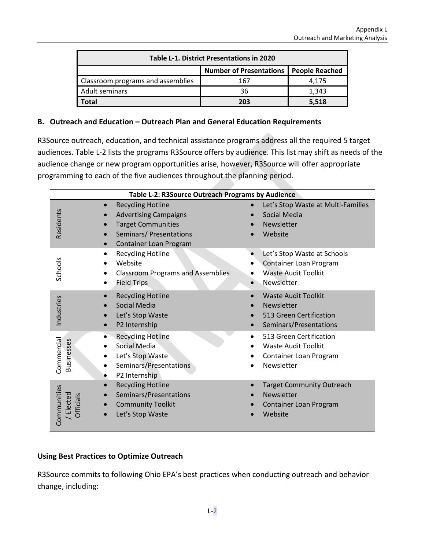| Table L-1. District Presentations in 2020 |                                          |       |  |  |
|-------------------------------------------|------------------------------------------|-------|--|--|
|                                           | Number of Presentations   People Reached |       |  |  |
| Classroom programs and assemblies         | 167                                      | 4.175 |  |  |
| Adult seminars                            | 36                                       | 1,343 |  |  |
| <b>Total</b>                              | 203                                      | 5.518 |  |  |

#### **B. Outreach and Education – Outreach Plan and General Education Requirements**

R3Source outreach, education, and technical assistance programs address all the required 5 target audiences. Table L-2 lists the programs R3Source offers by audience. This list may shift as needs of the audience change or new program opportunities arise, however, R3Source will offer appropriate programming to each of the five audiences throughout the planning period.

| Table L-2: R3Source Outreach Programs by Audience |                                                                                                                                                         |                                                                                                            |  |
|---------------------------------------------------|---------------------------------------------------------------------------------------------------------------------------------------------------------|------------------------------------------------------------------------------------------------------------|--|
| Residents                                         | <b>Recycling Hotline</b><br><b>Advertising Campaigns</b><br><b>Target Communities</b><br>Seminars/ Presentations<br>Container Loan Program<br>$\bullet$ | Let's Stop Waste at Multi-Families<br>Social Media<br>Newsletter<br>Website                                |  |
| Schools                                           | <b>Recycling Hotline</b><br>٠<br>Website<br><b>Classroom Programs and Assemblies</b><br>٠<br><b>Field Trips</b>                                         | Let's Stop Waste at Schools<br>Container Loan Program<br><b>Waste Audit Toolkit</b><br>Newsletter          |  |
| Industries                                        | <b>Recycling Hotline</b><br>Social Media<br>Let's Stop Waste<br>P2 Internship                                                                           | <b>Waste Audit Toolkit</b><br>Newsletter<br>513 Green Certification<br>Seminars/Presentations              |  |
| Commercial<br><b>Businesses</b>                   | <b>Recycling Hotline</b><br>Social Media<br>Let's Stop Waste<br>Seminars/Presentations<br>$\bullet$<br>P2 Internship                                    | 513 Green Certification<br>$\bullet$<br><b>Waste Audit Toolkit</b><br>Container Loan Program<br>Newsletter |  |
| Communities<br>Elected<br><b>Officials</b>        | <b>Recycling Hotline</b><br>Seminars/Presentations<br><b>Community Toolkit</b><br>Let's Stop Waste                                                      | <b>Target Community Outreach</b><br>Newsletter<br>Container Loan Program<br>Website                        |  |

## **Using Best Practices to Optimize Outreach**

R3Source commits to following Ohio EPA's best practices when conducting outreach and behavior change, including: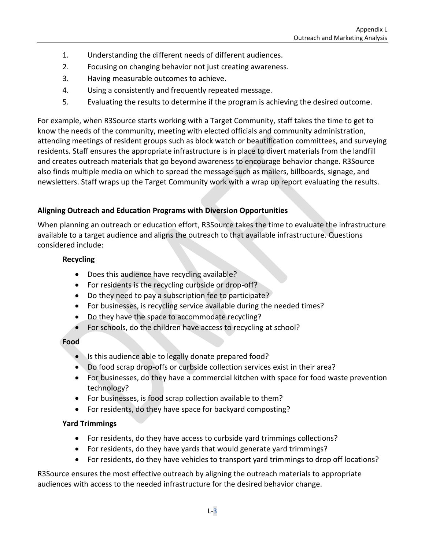- 1. Understanding the different needs of different audiences.
- 2. Focusing on changing behavior not just creating awareness.
- 3. Having measurable outcomes to achieve.
- 4. Using a consistently and frequently repeated message.
- 5. Evaluating the results to determine if the program is achieving the desired outcome.

For example, when R3Source starts working with a Target Community, staff takes the time to get to know the needs of the community, meeting with elected officials and community administration, attending meetings of resident groups such as block watch or beautification committees, and surveying residents. Staff ensures the appropriate infrastructure is in place to divert materials from the landfill and creates outreach materials that go beyond awareness to encourage behavior change. R3Source also finds multiple media on which to spread the message such as mailers, billboards, signage, and newsletters. Staff wraps up the Target Community work with a wrap up report evaluating the results.

# **Aligning Outreach and Education Programs with Diversion Opportunities**

When planning an outreach or education effort, R3Source takes the time to evaluate the infrastructure available to a target audience and aligns the outreach to that available infrastructure. Questions considered include:

#### **Recycling**

- Does this audience have recycling available?
- For residents is the recycling curbside or drop-off?
- Do they need to pay a subscription fee to participate?
- For businesses, is recycling service available during the needed times?
- Do they have the space to accommodate recycling?
- For schools, do the children have access to recycling at school?

## **Food**

- Is this audience able to legally donate prepared food?
- Do food scrap drop-offs or curbside collection services exist in their area?
- For businesses, do they have a commercial kitchen with space for food waste prevention technology?
- For businesses, is food scrap collection available to them?
- For residents, do they have space for backyard composting?

## **Yard Trimmings**

- For residents, do they have access to curbside yard trimmings collections?
- For residents, do they have yards that would generate yard trimmings?
- For residents, do they have vehicles to transport yard trimmings to drop off locations?

R3Source ensures the most effective outreach by aligning the outreach materials to appropriate audiences with access to the needed infrastructure for the desired behavior change.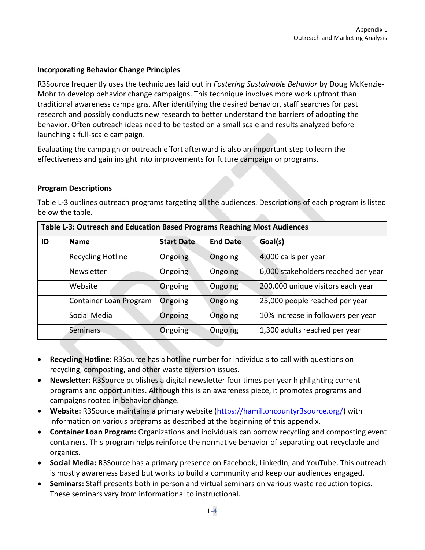#### **Incorporating Behavior Change Principles**

R3Source frequently uses the techniques laid out in *Fostering Sustainable Behavior* by Doug McKenzie-Mohr to develop behavior change campaigns. This technique involves more work upfront than traditional awareness campaigns. After identifying the desired behavior, staff searches for past research and possibly conducts new research to better understand the barriers of adopting the behavior. Often outreach ideas need to be tested on a small scale and results analyzed before launching a full-scale campaign.

Evaluating the campaign or outreach effort afterward is also an important step to learn the effectiveness and gain insight into improvements for future campaign or programs.

#### **Program Descriptions**

Table L-3 outlines outreach programs targeting all the audiences. Descriptions of each program is listed below the table.

| Table L-3: Outreach and Education Based Programs Reaching Most Audiences |                        |                   |                 |                                     |  |
|--------------------------------------------------------------------------|------------------------|-------------------|-----------------|-------------------------------------|--|
| ID                                                                       | <b>Name</b>            | <b>Start Date</b> | <b>End Date</b> | Goal(s)                             |  |
|                                                                          | Recycling Hotline      | Ongoing           | Ongoing         | 4,000 calls per year                |  |
|                                                                          | Newsletter             | Ongoing           | Ongoing         | 6,000 stakeholders reached per year |  |
|                                                                          | Website                | Ongoing           | Ongoing         | 200,000 unique visitors each year   |  |
|                                                                          | Container Loan Program | Ongoing           | Ongoing         | 25,000 people reached per year      |  |
|                                                                          | Social Media           | Ongoing           | Ongoing         | 10% increase in followers per year  |  |
|                                                                          | <b>Seminars</b>        | Ongoing           | Ongoing         | 1,300 adults reached per year       |  |

- **Recycling Hotline**: R3Source has a hotline number for individuals to call with questions on recycling, composting, and other waste diversion issues.
- **Newsletter:** R3Source publishes a digital newsletter four times per year highlighting current programs and opportunities. Although this is an awareness piece, it promotes programs and campaigns rooted in behavior change.
- **Website:** R3Source maintains a primary website [\(https://hamiltoncountyr3source.org/\)](https://hamiltoncountyr3source.org/) with information on various programs as described at the beginning of this appendix.
- **Container Loan Program:** Organizations and individuals can borrow recycling and composting event containers. This program helps reinforce the normative behavior of separating out recyclable and organics.
- **Social Media:** R3Source has a primary presence on Facebook, LinkedIn, and YouTube. This outreach is mostly awareness based but works to build a community and keep our audiences engaged.
- **Seminars:** Staff presents both in person and virtual seminars on various waste reduction topics. These seminars vary from informational to instructional.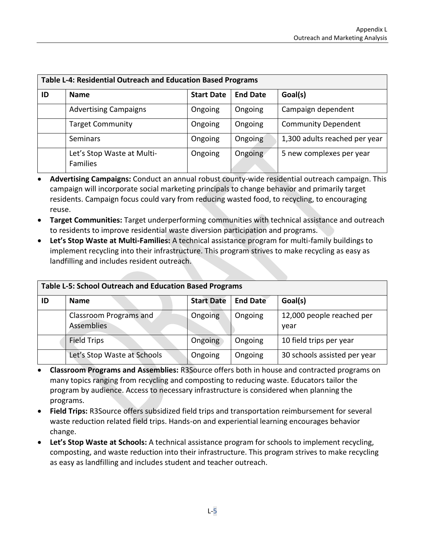| <b>Table L-4: Residential Outreach and Education Based Programs</b> |                                               |                   |                 |                               |
|---------------------------------------------------------------------|-----------------------------------------------|-------------------|-----------------|-------------------------------|
| ID                                                                  | <b>Name</b>                                   | <b>Start Date</b> | <b>End Date</b> | Goal(s)                       |
|                                                                     | <b>Advertising Campaigns</b>                  | Ongoing           | Ongoing         | Campaign dependent            |
|                                                                     | <b>Target Community</b>                       | Ongoing           | Ongoing         | <b>Community Dependent</b>    |
|                                                                     | <b>Seminars</b>                               | Ongoing           | Ongoing         | 1,300 adults reached per year |
|                                                                     | Let's Stop Waste at Multi-<br><b>Families</b> | Ongoing           | Ongoing         | 5 new complexes per year      |

- **Advertising Campaigns:** Conduct an annual robust county-wide residential outreach campaign. This campaign will incorporate social marketing principals to change behavior and primarily target residents. Campaign focus could vary from reducing wasted food, to recycling, to encouraging reuse.
- **Target Communities:** Target underperforming communities with technical assistance and outreach to residents to improve residential waste diversion participation and programs.
- **Let's Stop Waste at Multi-Families:** A technical assistance program for multi-family buildings to implement recycling into their infrastructure. This program strives to make recycling as easy as landfilling and includes resident outreach.

| <b>Table L-5: School Outreach and Education Based Programs</b> |                                      |                   |                 |                                   |
|----------------------------------------------------------------|--------------------------------------|-------------------|-----------------|-----------------------------------|
| ID                                                             | <b>Name</b>                          | <b>Start Date</b> | <b>End Date</b> | Goal(s)                           |
|                                                                | Classroom Programs and<br>Assemblies | Ongoing           | Ongoing         | 12,000 people reached per<br>year |
|                                                                | Field Trips                          | Ongoing           | Ongoing         | 10 field trips per year           |
|                                                                | Let's Stop Waste at Schools          | Ongoing           | Ongoing         | 30 schools assisted per year      |

**Table L-5: School Outreach and Education Based Programs**

- **Classroom Programs and Assemblies:** R3Source offers both in house and contracted programs on many topics ranging from recycling and composting to reducing waste. Educators tailor the program by audience. Access to necessary infrastructure is considered when planning the programs.
- **Field Trips:** R3Source offers subsidized field trips and transportation reimbursement for several waste reduction related field trips. Hands-on and experiential learning encourages behavior change.
- **Let's Stop Waste at Schools:** A technical assistance program for schools to implement recycling, composting, and waste reduction into their infrastructure. This program strives to make recycling as easy as landfilling and includes student and teacher outreach.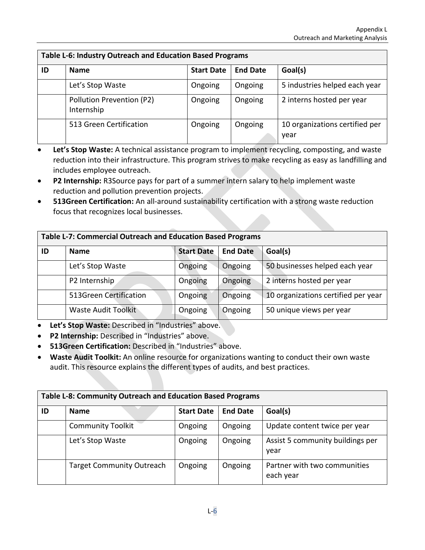| Table L-6: Industry Outreach and Education Based Programs |                                         |                   |                 |                                        |
|-----------------------------------------------------------|-----------------------------------------|-------------------|-----------------|----------------------------------------|
| ID                                                        | <b>Name</b>                             | <b>Start Date</b> | <b>End Date</b> | Goal(s)                                |
|                                                           | Let's Stop Waste                        | Ongoing           | Ongoing         | 5 industries helped each year          |
|                                                           | Pollution Prevention (P2)<br>Internship | Ongoing           | Ongoing         | 2 interns hosted per year              |
|                                                           | 513 Green Certification                 | Ongoing           | Ongoing         | 10 organizations certified per<br>year |

- Let's Stop Waste: A technical assistance program to implement recycling, composting, and waste reduction into their infrastructure. This program strives to make recycling as easy as landfilling and includes employee outreach.
- **P2 Internship:** R3Source pays for part of a summer intern salary to help implement waste reduction and pollution prevention projects.
- **513Green Certification:** An all-around sustainability certification with a strong waste reduction focus that recognizes local businesses.

| <b>Table L-7: Commercial Outreach and Education Based Programs</b> |                            |                   |                 |                                     |
|--------------------------------------------------------------------|----------------------------|-------------------|-----------------|-------------------------------------|
| ID                                                                 | <b>Name</b>                | <b>Start Date</b> | <b>End Date</b> | Goal(s)                             |
|                                                                    | Let's Stop Waste           | Ongoing           | Ongoing         | 50 businesses helped each year      |
|                                                                    | P2 Internship              | Ongoing           | Ongoing         | 2 interns hosted per year           |
|                                                                    | 513Green Certification     | Ongoing           | Ongoing         | 10 organizations certified per year |
|                                                                    | <b>Waste Audit Toolkit</b> | Ongoing           | Ongoing         | 50 unique views per year            |

- **Let's Stop Waste:** Described in "Industries" above.
- **P2 Internship:** Described in "Industries" above.
- **513Green Certification:** Described in "Industries" above.
- **Waste Audit Toolkit:** An online resource for organizations wanting to conduct their own waste audit. This resource explains the different types of audits, and best practices.

| Table L-8: Community Outreach and Education Based Programs |                                  |                   |                 |                                           |
|------------------------------------------------------------|----------------------------------|-------------------|-----------------|-------------------------------------------|
| ID                                                         | <b>Name</b>                      | <b>Start Date</b> | <b>End Date</b> | Goal(s)                                   |
|                                                            | <b>Community Toolkit</b>         | Ongoing           | Ongoing         | Update content twice per year             |
|                                                            | Let's Stop Waste                 | Ongoing           | Ongoing         | Assist 5 community buildings per<br>year  |
|                                                            | <b>Target Community Outreach</b> | Ongoing           | Ongoing         | Partner with two communities<br>each year |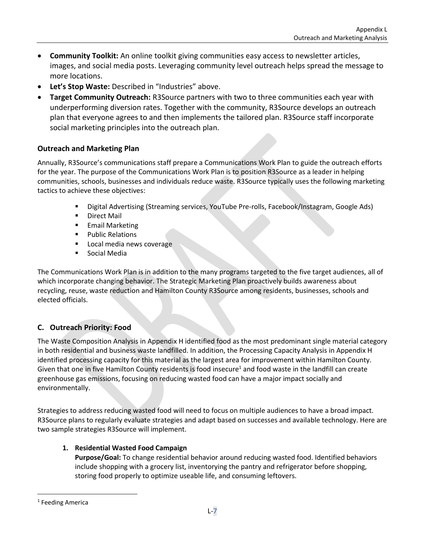- **Community Toolkit:** An online toolkit giving communities easy access to newsletter articles, images, and social media posts. Leveraging community level outreach helps spread the message to more locations.
- **Let's Stop Waste:** Described in "Industries" above.
- **Target Community Outreach:** R3Source partners with two to three communities each year with underperforming diversion rates. Together with the community, R3Source develops an outreach plan that everyone agrees to and then implements the tailored plan. R3Source staff incorporate social marketing principles into the outreach plan.

## **Outreach and Marketing Plan**

Annually, R3Source's communications staff prepare a Communications Work Plan to guide the outreach efforts for the year. The purpose of the Communications Work Plan is to position R3Source as a leader in helping communities, schools, businesses and individuals reduce waste. R3Source typically uses the following marketing tactics to achieve these objectives:

- Digital Advertising (Streaming services, YouTube Pre-rolls, Facebook/Instagram, Google Ads)
- Direct Mail
- **E** Email Marketing
- Public Relations
- Local media news coverage
- Social Media

The Communications Work Plan is in addition to the many programs targeted to the five target audiences, all of which incorporate changing behavior. The Strategic Marketing Plan proactively builds awareness about recycling, reuse, waste reduction and Hamilton County R3Source among residents, businesses, schools and elected officials.

# **C. Outreach Priority: Food**

The Waste Composition Analysis in Appendix H identified food as the most predominant single material category in both residential and business waste landfilled. In addition, the Processing Capacity Analysis in Appendix H identified processing capacity for this material as the largest area for improvement within Hamilton County. Given that one in five Hamilton County residents is food insecure<sup>1</sup> and food waste in the landfill can create greenhouse gas emissions, focusing on reducing wasted food can have a major impact socially and environmentally.

Strategies to address reducing wasted food will need to focus on multiple audiences to have a broad impact. R3Source plans to regularly evaluate strategies and adapt based on successes and available technology. Here are two sample strategies R3Source will implement.

## **1. Residential Wasted Food Campaign**

**Purpose/Goal:** To change residential behavior around reducing wasted food. Identified behaviors include shopping with a grocery list, inventorying the pantry and refrigerator before shopping, storing food properly to optimize useable life, and consuming leftovers.

<sup>&</sup>lt;sup>1</sup> Feeding America